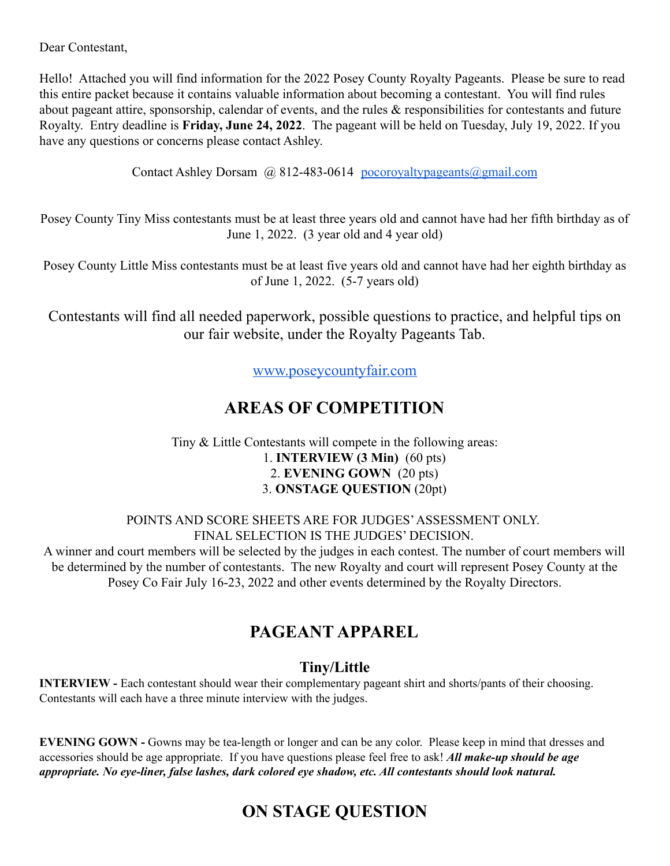Dear Contestant,

Hello! Attached you will find information for the 2022 Posey County Royalty Pageants. Please be sure to read this entire packet because it contains valuable information about becoming a contestant. You will find rules about pageant attire, sponsorship, calendar of events, and the rules & responsibilities for contestants and future Royalty. Entry deadline is **Friday, June 24, 2022**. The pageant will be held on Tuesday, July 19, 2022. If you have any questions or concerns please contact Ashley.

Contact Ashley Dorsam  $(a)$  812-483-0614 pocoroyaltypageants $(a)$ gmail.com

Posey County Tiny Miss contestants must be at least three years old and cannot have had her fifth birthday as of June 1, 2022. (3 year old and 4 year old)

Posey County Little Miss contestants must be at least five years old and cannot have had her eighth birthday as of June 1, 2022. (5-7 years old)

Contestants will find all needed paperwork, possible questions to practice, and helpful tips on our fair website, under the Royalty Pageants Tab.

[www.poseycountyfair.com](http://www.poseycountyfair.com)

## **AREAS OF COMPETITION**

#### Tiny & Little Contestants will compete in the following areas: 1. **INTERVIEW (3 Min)** (60 pts) 2. **EVENING GOWN** (20 pts) 3. **ONSTAGE QUESTION** (20pt)

POINTS AND SCORE SHEETS ARE FOR JUDGES'ASSESSMENT ONLY. FINAL SELECTION IS THE JUDGES' DECISION.

A winner and court members will be selected by the judges in each contest. The number of court members will be determined by the number of contestants. The new Royalty and court will represent Posey County at the Posey Co Fair July 16-23, 2022 and other events determined by the Royalty Directors.

## **PAGEANT APPAREL**

### **Tiny/Little**

**INTERVIEW -** Each contestant should wear their complementary pageant shirt and shorts/pants of their choosing. Contestants will each have a three minute interview with the judges.

**EVENING GOWN -** Gowns may be tea-length or longer and can be any color. Please keep in mind that dresses and accessories should be age appropriate. If you have questions please feel free to ask! *All make-up should be age appropriate. No eye-liner, false lashes, dark colored eye shadow, etc. All contestants should look natural.*

## **ON STAGE QUESTION**